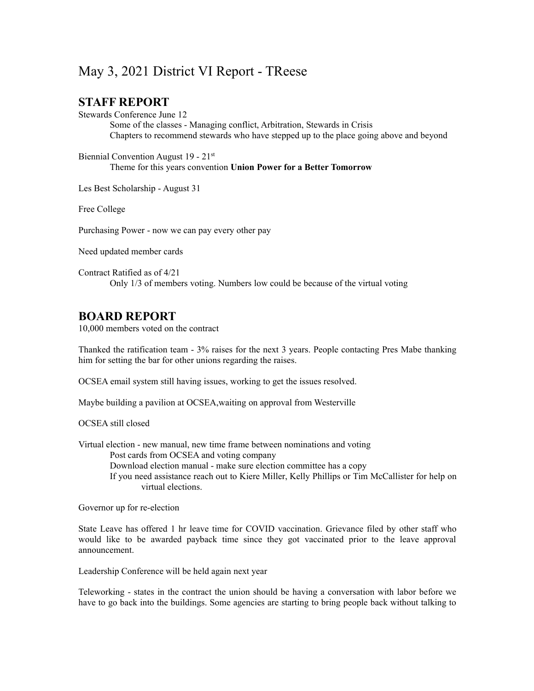## May 3, 2021 District VI Report - TReese

## **STAFF REPORT**

Stewards Conference June 12

Some of the classes - Managing conflict, Arbitration, Stewards in Crisis Chapters to recommend stewards who have stepped up to the place going above and beyond

Biennial Convention August 19 - 21<sup>st</sup> Theme for this years convention **Union Power for a Better Tomorrow**

Les Best Scholarship - August 31

Free College

Purchasing Power - now we can pay every other pay

Need updated member cards

Contract Ratified as of  $4/21$ Only 1/3 of members voting. Numbers low could be because of the virtual voting

## **BOARD REPORT**

10,000 members voted on the contract

Thanked the ratification team - 3% raises for the next 3 years. People contacting Pres Mabe thanking him for setting the bar for other unions regarding the raises.

OCSEA email system still having issues, working to get the issues resolved.

Maybe building a pavilion at OCSEA,waiting on approval from Westerville

OCSEA still closed

Virtual election - new manual, new time frame between nominations and voting

Post cards from OCSEA and voting company

Download election manual - make sure election committee has a copy

If you need assistance reach out to Kiere Miller, Kelly Phillips or Tim McCallister for help on virtual elections.

Governor up for re-election

State Leave has offered 1 hr leave time for COVID vaccination. Grievance filed by other staff who would like to be awarded payback time since they got vaccinated prior to the leave approval announcement.

Leadership Conference will be held again next year

Teleworking - states in the contract the union should be having a conversation with labor before we have to go back into the buildings. Some agencies are starting to bring people back without talking to